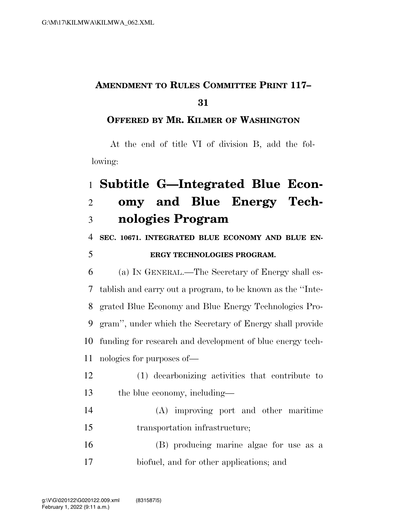## **AMENDMENT TO RULES COMMITTEE PRINT 117–**

## **OFFERED BY MR. KILMER OF WASHINGTON**

At the end of title VI of division B, add the following:

## **Subtitle G—Integrated Blue Econ- omy and Blue Energy Tech-nologies Program**

**SEC. 10671. INTEGRATED BLUE ECONOMY AND BLUE EN-**

## **ERGY TECHNOLOGIES PROGRAM.**

 (a) IN GENERAL.—The Secretary of Energy shall es- tablish and carry out a program, to be known as the ''Inte- grated Blue Economy and Blue Energy Technologies Pro- gram'', under which the Secretary of Energy shall provide funding for research and development of blue energy tech-nologies for purposes of—

- (1) decarbonizing activities that contribute to the blue economy, including—
- (A) improving port and other maritime transportation infrastructure;
- (B) producing marine algae for use as a biofuel, and for other applications; and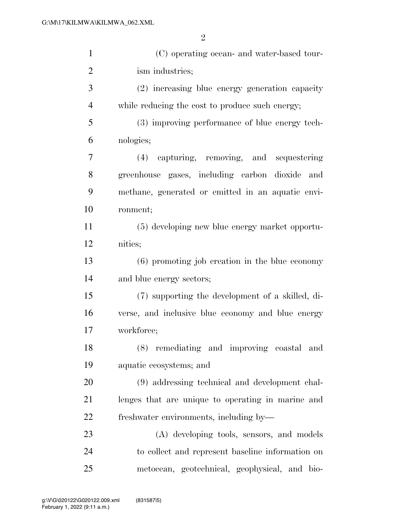| $\mathbf{1}$   | (C) operating ocean- and water-based tour-        |
|----------------|---------------------------------------------------|
| $\overline{2}$ | ism industries;                                   |
| 3              | (2) increasing blue energy generation capacity    |
| $\overline{4}$ | while reducing the cost to produce such energy;   |
| 5              | (3) improving performance of blue energy tech-    |
| 6              | nologies;                                         |
| 7              | (4) capturing, removing, and sequestering         |
| 8              | greenhouse gases, including carbon dioxide and    |
| 9              | methane, generated or emitted in an aquatic envi- |
| 10             | ronment;                                          |
| 11             | (5) developing new blue energy market opportu-    |
| 12             | nities;                                           |
| 13             | $(6)$ promoting job creation in the blue economy  |
| 14             | and blue energy sectors;                          |
| 15             | (7) supporting the development of a skilled, di-  |
| 16             | verse, and inclusive blue economy and blue energy |
| 17             | workforce;                                        |
| 18             | (8) remediating and improving coastal and         |
| 19             | aquatic ecosystems; and                           |
| 20             | (9) addressing technical and development chal-    |
| 21             | lenges that are unique to operating in marine and |
| 22             | freshwater environments, including by—            |
| 23             | (A) developing tools, sensors, and models         |
| 24             | to collect and represent baseline information on  |
| 25             | metocean, geotechnical, geophysical, and bio-     |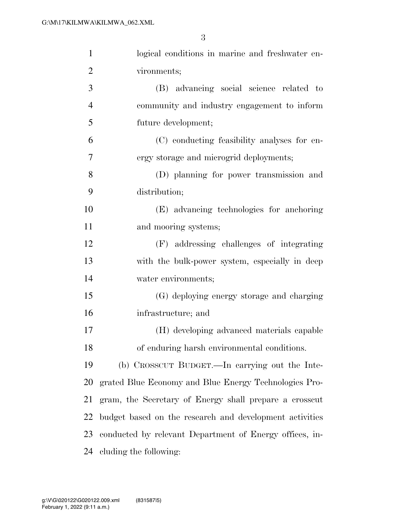| $\mathbf{1}$   | logical conditions in marine and freshwater en-         |  |
|----------------|---------------------------------------------------------|--|
| $\overline{2}$ | vironments;                                             |  |
| 3              | (B) advancing social science related to                 |  |
| $\overline{4}$ | community and industry engagement to inform             |  |
| 5              | future development;                                     |  |
| 6              | (C) conducting feasibility analyses for en-             |  |
| 7              | ergy storage and microgrid deployments;                 |  |
| 8              | (D) planning for power transmission and                 |  |
| 9              | distribution;                                           |  |
| 10             | (E) advancing technologies for anchoring                |  |
| 11             | and mooring systems;                                    |  |
| 12             | (F) addressing challenges of integrating                |  |
| 13             | with the bulk-power system, especially in deep          |  |
| 14             | water environments;                                     |  |
| 15             | (G) deploying energy storage and charging               |  |
| 16             | infrastructure; and                                     |  |
| 17             | (H) developing advanced materials capable               |  |
| 18             | of enduring harsh environmental conditions.             |  |
| 19             | (b) CROSSCUT BUDGET.—In carrying out the Inte-          |  |
| 20             | grated Blue Economy and Blue Energy Technologies Pro-   |  |
| 21             | gram, the Secretary of Energy shall prepare a crosscut  |  |
| 22             | budget based on the research and development activities |  |
| 23             | conducted by relevant Department of Energy offices, in- |  |
| 24             | cluding the following:                                  |  |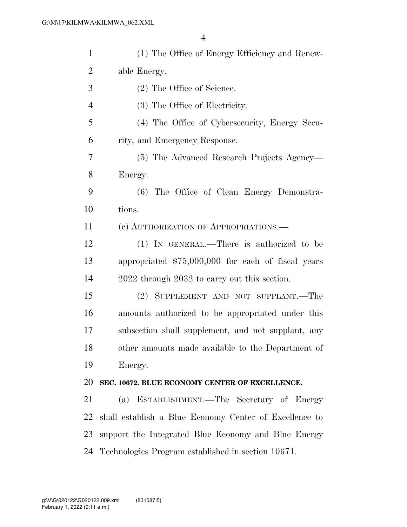| $\mathbf{1}$   | (1) The Office of Energy Efficiency and Renew-         |
|----------------|--------------------------------------------------------|
| $\overline{2}$ | able Energy.                                           |
| 3              | (2) The Office of Science.                             |
| $\overline{4}$ | (3) The Office of Electricity.                         |
| 5              | (4) The Office of Cybersecurity, Energy Secu-          |
| 6              | rity, and Emergency Response.                          |
| 7              | (5) The Advanced Research Projects Agency-             |
| 8              | Energy.                                                |
| 9              | (6) The Office of Clean Energy Demonstra-              |
| 10             | tions.                                                 |
| 11             | (c) AUTHORIZATION OF APPROPRIATIONS.—                  |
| 12             | (1) IN GENERAL.—There is authorized to be              |
| 13             | appropriated \$75,000,000 for each of fiscal years     |
| 14             | 2022 through 2032 to carry out this section.           |
| 15             | (2) SUPPLEMENT AND NOT SUPPLANT.—The                   |
| 16             | amounts authorized to be appropriated under this       |
| 17             | subsection shall supplement, and not supplant, any     |
| 18             | other amounts made available to the Department of      |
| 19             | Energy.                                                |
| 20             | SEC. 10672. BLUE ECONOMY CENTER OF EXCELLENCE.         |
| 21             | (a) ESTABLISHMENT.—The Secretary of Energy             |
| 22             | shall establish a Blue Economy Center of Excellence to |
| 23             | support the Integrated Blue Economy and Blue Energy    |
| 24             | Technologies Program established in section 10671.     |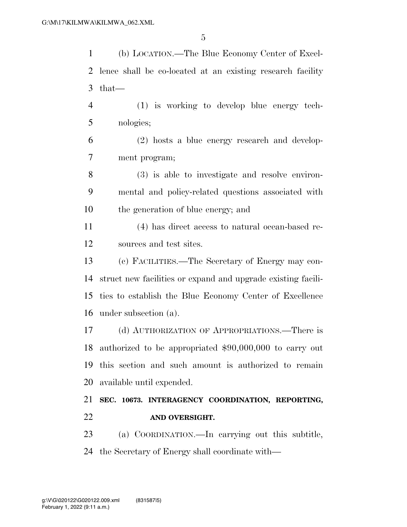(b) LOCATION.—The Blue Economy Center of Excel- lence shall be co-located at an existing research facility that— (1) is working to develop blue energy tech- nologies; (2) hosts a blue energy research and develop- ment program; (3) is able to investigate and resolve environ- mental and policy-related questions associated with the generation of blue energy; and (4) has direct access to natural ocean-based re- sources and test sites. (c) FACILITIES.—The Secretary of Energy may con- struct new facilities or expand and upgrade existing facili- ties to establish the Blue Economy Center of Excellence under subsection (a). (d) AUTHORIZATION OF APPROPRIATIONS.—There is authorized to be appropriated \$90,000,000 to carry out this section and such amount is authorized to remain available until expended.

 **SEC. 10673. INTERAGENCY COORDINATION, REPORTING, AND OVERSIGHT.** 

 (a) COORDINATION.—In carrying out this subtitle, the Secretary of Energy shall coordinate with—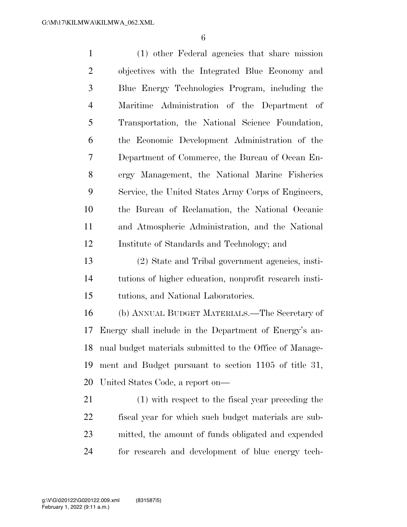(1) other Federal agencies that share mission objectives with the Integrated Blue Economy and Blue Energy Technologies Program, including the Maritime Administration of the Department of Transportation, the National Science Foundation, the Economic Development Administration of the Department of Commerce, the Bureau of Ocean En- ergy Management, the National Marine Fisheries Service, the United States Army Corps of Engineers, the Bureau of Reclamation, the National Oceanic and Atmospheric Administration, and the National Institute of Standards and Technology; and

 (2) State and Tribal government agencies, insti- tutions of higher education, nonprofit research insti-tutions, and National Laboratories.

 (b) ANNUAL BUDGET MATERIALS.—The Secretary of Energy shall include in the Department of Energy's an- nual budget materials submitted to the Office of Manage- ment and Budget pursuant to section 1105 of title 31, United States Code, a report on—

 (1) with respect to the fiscal year preceding the fiscal year for which such budget materials are sub- mitted, the amount of funds obligated and expended for research and development of blue energy tech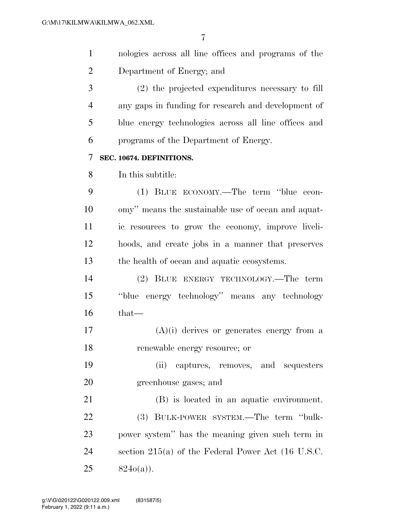$\overline{r}$ 

| $\mathbf{1}$   | nologies across all line offices and programs of the |
|----------------|------------------------------------------------------|
| $\overline{2}$ | Department of Energy; and                            |
| 3              | (2) the projected expenditures necessary to fill     |
| $\overline{4}$ | any gaps in funding for research and development of  |
| 5              | blue energy technologies across all line offices and |
| 6              | programs of the Department of Energy.                |
| 7              | SEC. 10674. DEFINITIONS.                             |
| 8              | In this subtitle:                                    |
| 9              | (1) BLUE ECONOMY.—The term "blue econ-               |
| 10             | omy" means the sustainable use of ocean and aquat-   |
| 11             | ic resources to grow the economy, improve liveli-    |
| 12             | hoods, and create jobs in a manner that preserves    |
| 13             | the health of ocean and aquatic ecosystems.          |
| 14             | (2) BLUE ENERGY TECHNOLOGY.—The term                 |
| 15             | "blue energy technology" means any technology        |
| 16             | $that-$                                              |
| 17             | $(A)(i)$ derives or generates energy from a          |
| 18             | renewable energy resource; or                        |
| 19             | captures, removes, and sequesters<br>(ii)            |
| 20             | greenhouse gases; and                                |
| 21             | (B) is located in an aquatic environment.            |
| 22             | (3) BULK-POWER SYSTEM.—The term "bulk-               |
| 23             | power system" has the meaning given such term in     |
| 24             | section $215(a)$ of the Federal Power Act (16 U.S.C. |

824o(a)).